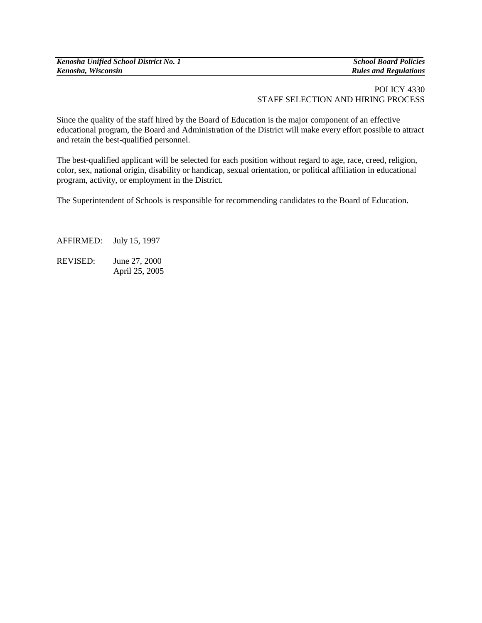*Kenosha Unified School District No. 1 School Board Policies Kenosha, Wisconsin Rules and Regulations*

## POLICY 4330 STAFF SELECTION AND HIRING PROCESS

Since the quality of the staff hired by the Board of Education is the major component of an effective educational program, the Board and Administration of the District will make every effort possible to attract and retain the best-qualified personnel.

The best-qualified applicant will be selected for each position without regard to age, race, creed, religion, color, sex, national origin, disability or handicap, sexual orientation, or political affiliation in educational program, activity, or employment in the District.

The Superintendent of Schools is responsible for recommending candidates to the Board of Education.

AFFIRMED:July 15, 1997 REVISED: June 27, 2000 April 25, 2005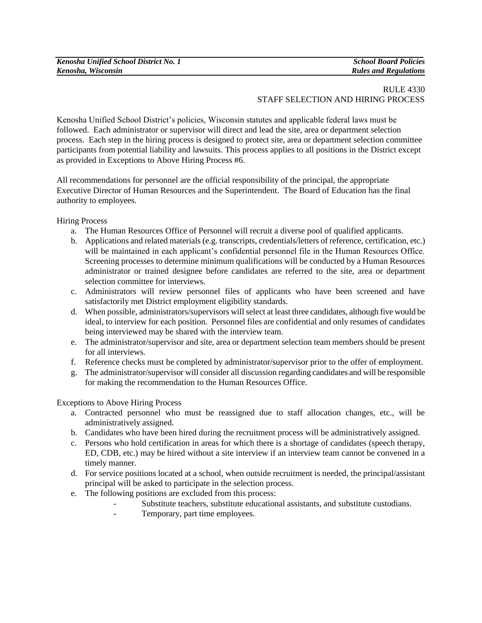## RULE 4330 STAFF SELECTION AND HIRING PROCESS

Kenosha Unified School District's policies, Wisconsin statutes and applicable federal laws must be followed. Each administrator or supervisor will direct and lead the site, area or department selection process. Each step in the hiring process is designed to protect site, area or department selection committee participants from potential liability and lawsuits. This process applies to all positions in the District except as provided in Exceptions to Above Hiring Process #6.

All recommendations for personnel are the official responsibility of the principal, the appropriate Executive Director of Human Resources and the Superintendent. The Board of Education has the final authority to employees.

Hiring Process

- a. The Human Resources Office of Personnel will recruit a diverse pool of qualified applicants.
- b. Applications and related materials (e.g. transcripts, credentials/letters of reference, certification, etc.) will be maintained in each applicant's confidential personnel file in the Human Resources Office. Screening processes to determine minimum qualifications will be conducted by a Human Resources administrator or trained designee before candidates are referred to the site, area or department selection committee for interviews.
- c. Administrators will review personnel files of applicants who have been screened and have satisfactorily met District employment eligibility standards.
- d. When possible, administrators/supervisors will select at least three candidates, although five would be ideal, to interview for each position. Personnel files are confidential and only resumes of candidates being interviewed may be shared with the interview team.
- e. The administrator/supervisor and site, area or department selection team members should be present for all interviews.
- f. Reference checks must be completed by administrator/supervisor prior to the offer of employment.
- g. The administrator/supervisor will consider all discussion regarding candidates and will be responsible for making the recommendation to the Human Resources Office.

Exceptions to Above Hiring Process

- a. Contracted personnel who must be reassigned due to staff allocation changes, etc., will be administratively assigned.
- b. Candidates who have been hired during the recruitment process will be administratively assigned.
- c. Persons who hold certification in areas for which there is a shortage of candidates (speech therapy, ED, CDB, etc.) may be hired without a site interview if an interview team cannot be convened in a timely manner.
- d. For service positions located at a school, when outside recruitment is needed, the principal/assistant principal will be asked to participate in the selection process.
- e. The following positions are excluded from this process:
	- Substitute teachers, substitute educational assistants, and substitute custodians.
		- Temporary, part time employees.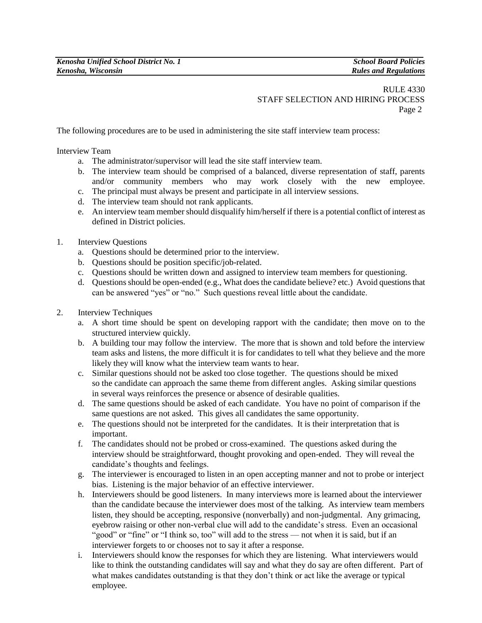## RULE 4330 STAFF SELECTION AND HIRING PROCESS Page 2

The following procedures are to be used in administering the site staff interview team process:

Interview Team

- a. The administrator/supervisor will lead the site staff interview team.
- b. The interview team should be comprised of a balanced, diverse representation of staff, parents and/or community members who may work closely with the new employee.
- c. The principal must always be present and participate in all interview sessions.
- d. The interview team should not rank applicants.
- e. An interview team member should disqualify him/herself if there is a potential conflict of interest as defined in District policies.
- 1. Interview Questions
	- a. Questions should be determined prior to the interview.
	- b. Questions should be position specific/job-related.
	- c. Questions should be written down and assigned to interview team members for questioning.
	- d. Questions should be open-ended (e.g., What does the candidate believe? etc.) Avoid questions that can be answered "yes" or "no." Such questions reveal little about the candidate.
- 2. Interview Techniques
	- a. A short time should be spent on developing rapport with the candidate; then move on to the structured interview quickly.
	- b. A building tour may follow the interview. The more that is shown and told before the interview team asks and listens, the more difficult it is for candidates to tell what they believe and the more likely they will know what the interview team wants to hear.
	- c. Similar questions should not be asked too close together. The questions should be mixed so the candidate can approach the same theme from different angles. Asking similar questions in several ways reinforces the presence or absence of desirable qualities.
	- d. The same questions should be asked of each candidate. You have no point of comparison if the same questions are not asked. This gives all candidates the same opportunity.
	- e. The questions should not be interpreted for the candidates. It is their interpretation that is important.
	- f. The candidates should not be probed or cross-examined. The questions asked during the interview should be straightforward, thought provoking and open-ended. They will reveal the candidate's thoughts and feelings.
	- g. The interviewer is encouraged to listen in an open accepting manner and not to probe or interject bias. Listening is the major behavior of an effective interviewer.
	- h. Interviewers should be good listeners. In many interviews more is learned about the interviewer than the candidate because the interviewer does most of the talking. As interview team members listen, they should be accepting, responsive (nonverbally) and non-judgmental. Any grimacing, eyebrow raising or other non-verbal clue will add to the candidate's stress. Even an occasional "good" or "fine" or "I think so, too" will add to the stress — not when it is said, but if an interviewer forgets to or chooses not to say it after a response.
	- i. Interviewers should know the responses for which they are listening. What interviewers would like to think the outstanding candidates will say and what they do say are often different. Part of what makes candidates outstanding is that they don't think or act like the average or typical employee.